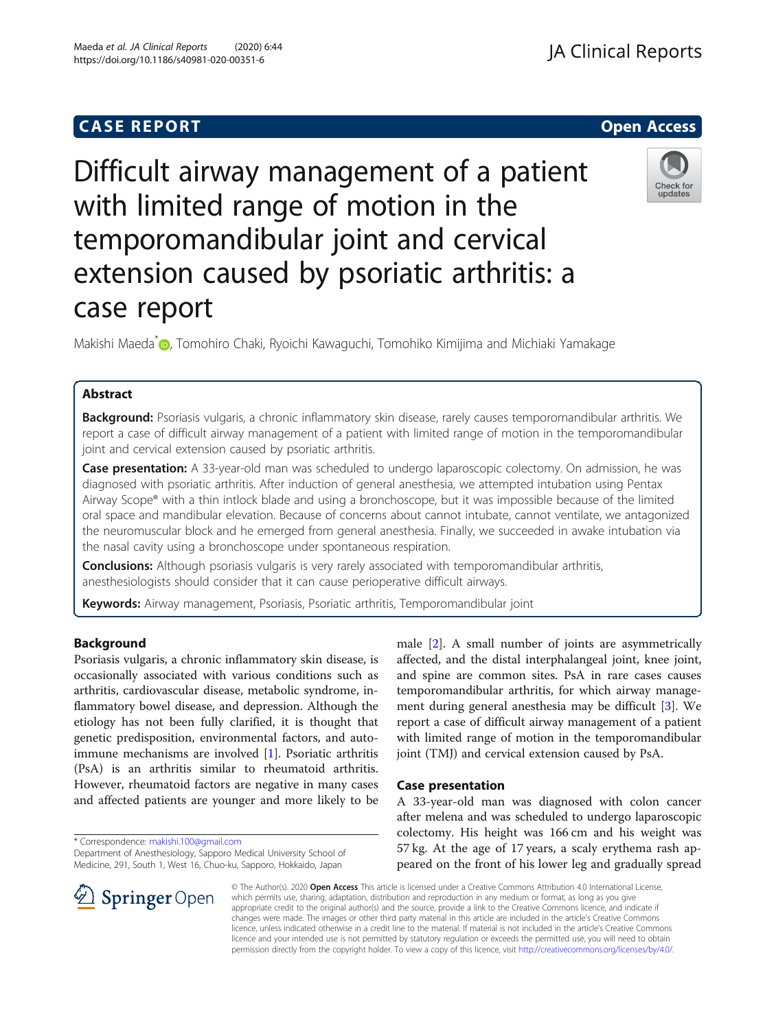## **CASE REPORT And SERVICE SERVICE SERVICE SERVICE SERVICE SERVICE SERVICE SERVICE SERVICE SERVICE SERVICE SERVICE**

# Difficult airway management of a patient with limited range of motion in the temporomandibular joint and cervical extension caused by psoriatic arthritis: a case report

Makishi Maeda<sup>\*</sup> (D. Tomohiro Chaki[,](http://orcid.org/0000-0003-3773-3972) Ryoichi Kawaguchi, Tomohiko Kimijima and Michiaki Yamakage

## Abstract

Background: Psoriasis vulgaris, a chronic inflammatory skin disease, rarely causes temporomandibular arthritis. We report a case of difficult airway management of a patient with limited range of motion in the temporomandibular joint and cervical extension caused by psoriatic arthritis.

Case presentation: A 33-year-old man was scheduled to undergo laparoscopic colectomy. On admission, he was diagnosed with psoriatic arthritis. After induction of general anesthesia, we attempted intubation using Pentax Airway Scope® with a thin intlock blade and using a bronchoscope, but it was impossible because of the limited oral space and mandibular elevation. Because of concerns about cannot intubate, cannot ventilate, we antagonized the neuromuscular block and he emerged from general anesthesia. Finally, we succeeded in awake intubation via the nasal cavity using a bronchoscope under spontaneous respiration.

**Conclusions:** Although psoriasis vulgaris is very rarely associated with temporomandibular arthritis, anesthesiologists should consider that it can cause perioperative difficult airways.

Keywords: Airway management, Psoriasis, Psoriatic arthritis, Temporomandibular joint

## Background

Psoriasis vulgaris, a chronic inflammatory skin disease, is occasionally associated with various conditions such as arthritis, cardiovascular disease, metabolic syndrome, inflammatory bowel disease, and depression. Although the etiology has not been fully clarified, it is thought that genetic predisposition, environmental factors, and autoimmune mechanisms are involved [[1\]](#page-3-0). Psoriatic arthritis (PsA) is an arthritis similar to rheumatoid arthritis. However, rheumatoid factors are negative in many cases and affected patients are younger and more likely to be

\* Correspondence: [makishi.100@gmail.com](mailto:makishi.100@gmail.com)

Department of Anesthesiology, Sapporo Medical University School of Medicine, 291, South 1, West 16, Chuo-ku, Sapporo, Hokkaido, Japan

male [[2\]](#page-3-0). A small number of joints are asymmetrically affected, and the distal interphalangeal joint, knee joint, and spine are common sites. PsA in rare cases causes temporomandibular arthritis, for which airway management during general anesthesia may be difficult [\[3](#page-3-0)]. We report a case of difficult airway management of a patient with limited range of motion in the temporomandibular joint (TMJ) and cervical extension caused by PsA.

### Case presentation

A 33-year-old man was diagnosed with colon cancer after melena and was scheduled to undergo laparoscopic colectomy. His height was 166 cm and his weight was 57 kg. At the age of 17 years, a scaly erythema rash appeared on the front of his lower leg and gradually spread

© The Author(s). 2020 Open Access This article is licensed under a Creative Commons Attribution 4.0 International License, which permits use, sharing, adaptation, distribution and reproduction in any medium or format, as long as you give appropriate credit to the original author(s) and the source, provide a link to the Creative Commons licence, and indicate if changes were made. The images or other third party material in this article are included in the article's Creative Commons licence, unless indicated otherwise in a credit line to the material. If material is not included in the article's Creative Commons licence and your intended use is not permitted by statutory regulation or exceeds the permitted use, you will need to obtain permission directly from the copyright holder. To view a copy of this licence, visit <http://creativecommons.org/licenses/by/4.0/>.

**Springer** Open



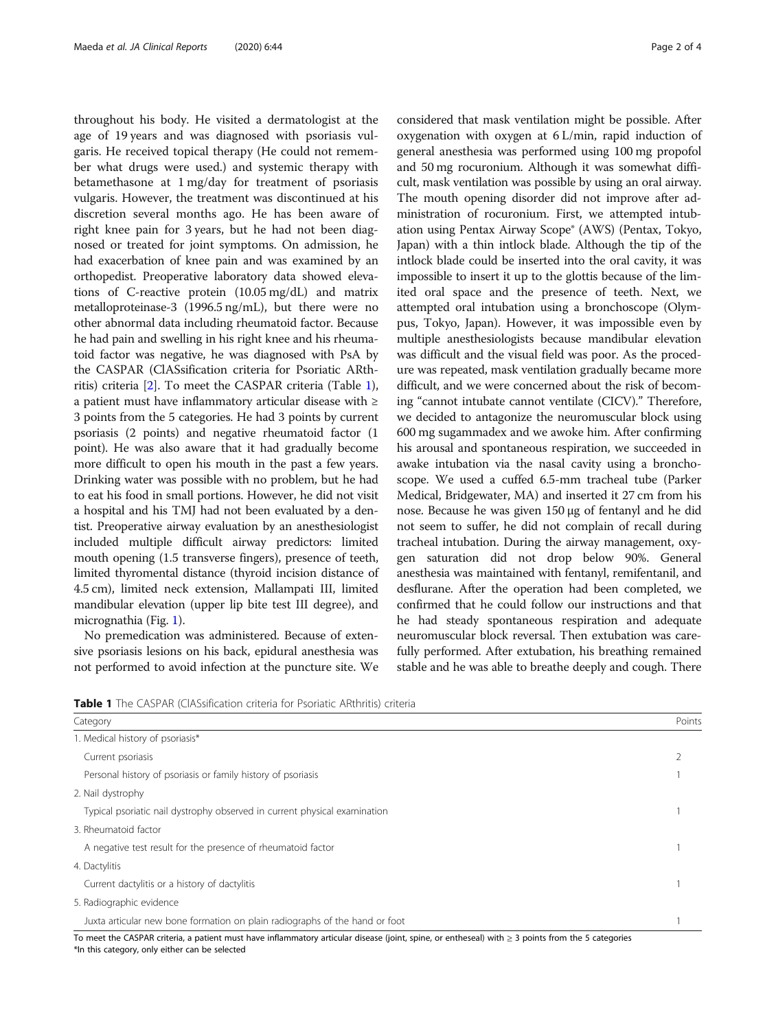throughout his body. He visited a dermatologist at the age of 19 years and was diagnosed with psoriasis vulgaris. He received topical therapy (He could not remember what drugs were used.) and systemic therapy with betamethasone at 1 mg/day for treatment of psoriasis vulgaris. However, the treatment was discontinued at his discretion several months ago. He has been aware of right knee pain for 3 years, but he had not been diagnosed or treated for joint symptoms. On admission, he had exacerbation of knee pain and was examined by an orthopedist. Preoperative laboratory data showed elevations of C-reactive protein (10.05 mg/dL) and matrix metalloproteinase-3 (1996.5 ng/mL), but there were no other abnormal data including rheumatoid factor. Because he had pain and swelling in his right knee and his rheumatoid factor was negative, he was diagnosed with PsA by the CASPAR (ClASsification criteria for Psoriatic ARthritis) criteria [\[2\]](#page-3-0). To meet the CASPAR criteria (Table 1), a patient must have inflammatory articular disease with ≥ 3 points from the 5 categories. He had 3 points by current psoriasis (2 points) and negative rheumatoid factor (1 point). He was also aware that it had gradually become more difficult to open his mouth in the past a few years. Drinking water was possible with no problem, but he had to eat his food in small portions. However, he did not visit a hospital and his TMJ had not been evaluated by a dentist. Preoperative airway evaluation by an anesthesiologist included multiple difficult airway predictors: limited mouth opening (1.5 transverse fingers), presence of teeth, limited thyromental distance (thyroid incision distance of 4.5 cm), limited neck extension, Mallampati III, limited mandibular elevation (upper lip bite test III degree), and micrognathia (Fig. [1\)](#page-2-0).

No premedication was administered. Because of extensive psoriasis lesions on his back, epidural anesthesia was not performed to avoid infection at the puncture site. We

considered that mask ventilation might be possible. After oxygenation with oxygen at 6 L/min, rapid induction of general anesthesia was performed using 100 mg propofol and 50 mg rocuronium. Although it was somewhat difficult, mask ventilation was possible by using an oral airway. The mouth opening disorder did not improve after administration of rocuronium. First, we attempted intubation using Pentax Airway Scope® (AWS) (Pentax, Tokyo, Japan) with a thin intlock blade. Although the tip of the intlock blade could be inserted into the oral cavity, it was impossible to insert it up to the glottis because of the limited oral space and the presence of teeth. Next, we attempted oral intubation using a bronchoscope (Olympus, Tokyo, Japan). However, it was impossible even by multiple anesthesiologists because mandibular elevation was difficult and the visual field was poor. As the procedure was repeated, mask ventilation gradually became more difficult, and we were concerned about the risk of becoming "cannot intubate cannot ventilate (CICV)." Therefore, we decided to antagonize the neuromuscular block using 600 mg sugammadex and we awoke him. After confirming his arousal and spontaneous respiration, we succeeded in awake intubation via the nasal cavity using a bronchoscope. We used a cuffed 6.5-mm tracheal tube (Parker Medical, Bridgewater, MA) and inserted it 27 cm from his nose. Because he was given 150 μg of fentanyl and he did not seem to suffer, he did not complain of recall during tracheal intubation. During the airway management, oxygen saturation did not drop below 90%. General anesthesia was maintained with fentanyl, remifentanil, and desflurane. After the operation had been completed, we confirmed that he could follow our instructions and that he had steady spontaneous respiration and adequate neuromuscular block reversal. Then extubation was carefully performed. After extubation, his breathing remained stable and he was able to breathe deeply and cough. There

Table 1 The CASPAR (ClASsification criteria for Psoriatic ARthritis) criteria

| Category                                                                                                                                                | Points |
|---------------------------------------------------------------------------------------------------------------------------------------------------------|--------|
| 1. Medical history of psoriasis*                                                                                                                        |        |
| Current psoriasis                                                                                                                                       |        |
| Personal history of psoriasis or family history of psoriasis                                                                                            |        |
| 2. Nail dystrophy                                                                                                                                       |        |
| Typical psoriatic nail dystrophy observed in current physical examination                                                                               |        |
| 3. Rheumatoid factor                                                                                                                                    |        |
| A negative test result for the presence of rheumatoid factor                                                                                            |        |
| 4. Dactylitis                                                                                                                                           |        |
| Current dactylitis or a history of dactylitis                                                                                                           |        |
| 5. Radiographic evidence                                                                                                                                |        |
| Juxta articular new bone formation on plain radiographs of the hand or foot                                                                             |        |
| To meet the CASPAR criteria, a patient must have inflammatory articular disease (joint, spine, or entheseal) with $\geq$ 3 points from the 5 categories |        |

\*In this category, only either can be selected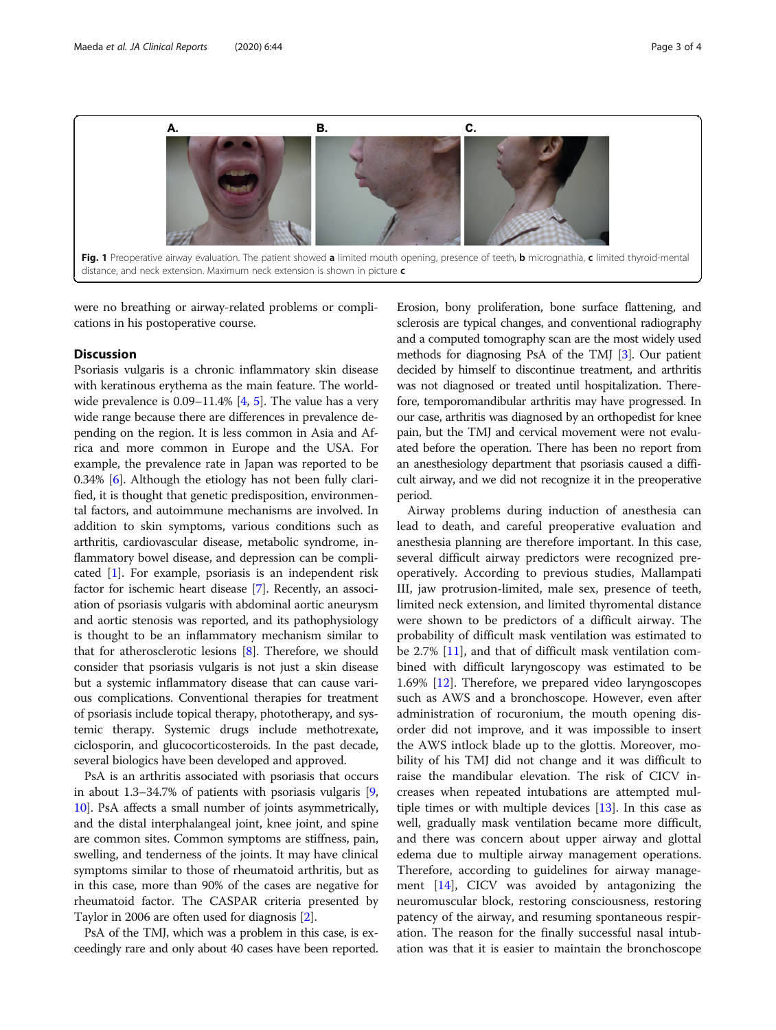<span id="page-2-0"></span>

were no breathing or airway-related problems or complications in his postoperative course.

## **Discussion**

Psoriasis vulgaris is a chronic inflammatory skin disease with keratinous erythema as the main feature. The world-wide prevalence is 0.09–11.4% [[4,](#page-3-0) [5](#page-3-0)]. The value has a very wide range because there are differences in prevalence depending on the region. It is less common in Asia and Africa and more common in Europe and the USA. For example, the prevalence rate in Japan was reported to be 0.34% [[6](#page-3-0)]. Although the etiology has not been fully clarified, it is thought that genetic predisposition, environmental factors, and autoimmune mechanisms are involved. In addition to skin symptoms, various conditions such as arthritis, cardiovascular disease, metabolic syndrome, inflammatory bowel disease, and depression can be complicated [\[1](#page-3-0)]. For example, psoriasis is an independent risk factor for ischemic heart disease [\[7](#page-3-0)]. Recently, an association of psoriasis vulgaris with abdominal aortic aneurysm and aortic stenosis was reported, and its pathophysiology is thought to be an inflammatory mechanism similar to that for atherosclerotic lesions [[8\]](#page-3-0). Therefore, we should consider that psoriasis vulgaris is not just a skin disease but a systemic inflammatory disease that can cause various complications. Conventional therapies for treatment of psoriasis include topical therapy, phototherapy, and systemic therapy. Systemic drugs include methotrexate, ciclosporin, and glucocorticosteroids. In the past decade, several biologics have been developed and approved.

PsA is an arthritis associated with psoriasis that occurs in about 1.3–34.7% of patients with psoriasis vulgaris [[9](#page-3-0), [10](#page-3-0)]. PsA affects a small number of joints asymmetrically, and the distal interphalangeal joint, knee joint, and spine are common sites. Common symptoms are stiffness, pain, swelling, and tenderness of the joints. It may have clinical symptoms similar to those of rheumatoid arthritis, but as in this case, more than 90% of the cases are negative for rheumatoid factor. The CASPAR criteria presented by Taylor in 2006 are often used for diagnosis [\[2](#page-3-0)].

PsA of the TMJ, which was a problem in this case, is exceedingly rare and only about 40 cases have been reported.

Erosion, bony proliferation, bone surface flattening, and sclerosis are typical changes, and conventional radiography and a computed tomography scan are the most widely used methods for diagnosing PsA of the TMJ [\[3](#page-3-0)]. Our patient decided by himself to discontinue treatment, and arthritis was not diagnosed or treated until hospitalization. Therefore, temporomandibular arthritis may have progressed. In our case, arthritis was diagnosed by an orthopedist for knee pain, but the TMJ and cervical movement were not evaluated before the operation. There has been no report from an anesthesiology department that psoriasis caused a difficult airway, and we did not recognize it in the preoperative period.

Airway problems during induction of anesthesia can lead to death, and careful preoperative evaluation and anesthesia planning are therefore important. In this case, several difficult airway predictors were recognized preoperatively. According to previous studies, Mallampati III, jaw protrusion-limited, male sex, presence of teeth, limited neck extension, and limited thyromental distance were shown to be predictors of a difficult airway. The probability of difficult mask ventilation was estimated to be 2.7% [\[11\]](#page-3-0), and that of difficult mask ventilation combined with difficult laryngoscopy was estimated to be 1.69% [\[12](#page-3-0)]. Therefore, we prepared video laryngoscopes such as AWS and a bronchoscope. However, even after administration of rocuronium, the mouth opening disorder did not improve, and it was impossible to insert the AWS intlock blade up to the glottis. Moreover, mobility of his TMJ did not change and it was difficult to raise the mandibular elevation. The risk of CICV increases when repeated intubations are attempted multiple times or with multiple devices [[13\]](#page-3-0). In this case as well, gradually mask ventilation became more difficult, and there was concern about upper airway and glottal edema due to multiple airway management operations. Therefore, according to guidelines for airway management [\[14](#page-3-0)], CICV was avoided by antagonizing the neuromuscular block, restoring consciousness, restoring patency of the airway, and resuming spontaneous respiration. The reason for the finally successful nasal intubation was that it is easier to maintain the bronchoscope